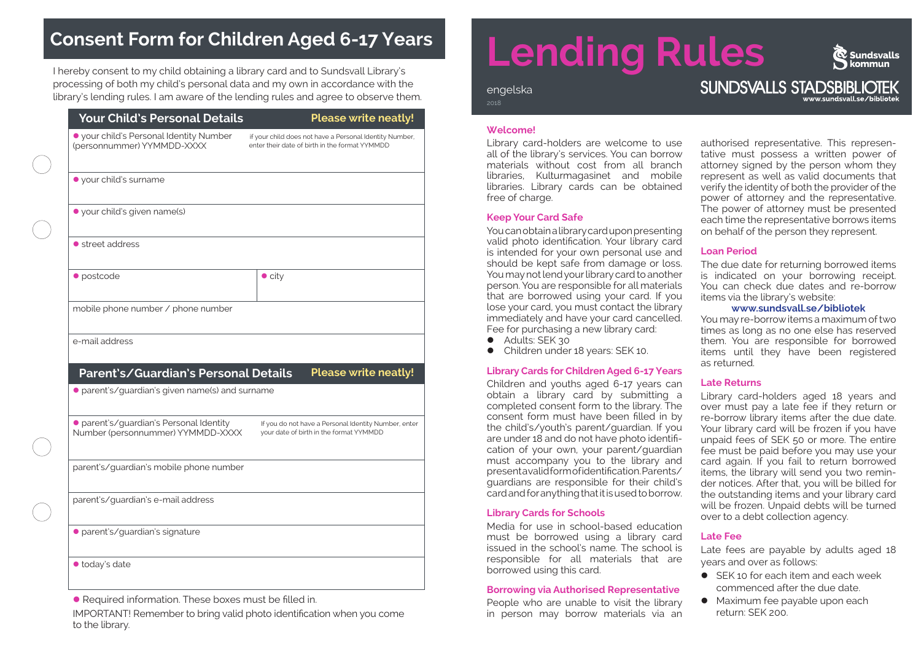## **Consent Form for Children Aged 6-17 Years**

I hereby consent to my child obtaining a library card and to Sundsvall Library's processing of both my child's personal data and my own in accordance with the processing or both my child's personal data and my own in accordance with the<br>library's lending rules. I am aware of the lending rules and agree to observe them.

| <b>Nour Child's Personal Details'</b> |  |
|---------------------------------------|--|
|                                       |  |

#### **Please write neatly!**

(personnummer) YYMMDD-XXXX

l your child's Personal Identity Number if your child does not have a Personal Identity Number,

• parent's/guardian's Personal Identity Figuardo not have a Personal Identity Number, enter<br>Number (personnummer) YYMMDD-XXXX vour date of birth in the format YYMMDD Number (personnummer) YYMMDD-XXXX

parent's/guardian's mobile phone number

parent's/guardian's e-mail address

l parent's/guardian's signature

 $\bullet$  today's date

• Required information. These boxes must be filled in.

IMPORTANT! Remember to bring valid photo identification when you come to the library.

# **Lending Rules**

 $\circledR$  Sundsvalls kommun

#### **SUNDSVALLS STADSBIBLIOTEK** www.sundsvall.se/bibliotek

#### **Welcome!**

Library card-holders are welcome to use all of the library's services. You can borrow materials without cost from all branch libraries, Kulturmagasinet and mobile libraries. Library cards can be obtained free of charge.

#### **Keep Your Card Safe**

You can obtain a library card upon presenting valid photo identification. Your library card is intended for your own personal use and should be kept safe from damage or loss. You may not lend your library card to another person. You are responsible for all materials that are borrowed using your card. If you lose your card, you must contact the library immediately and have your card cancelled. Fee for purchasing a new library card:

- Adults: SEK 30
- **•** Children under 18 years: SEK 10.

### **Library Cards for Children Aged 6-17 Years**

Children and youths aged 6-17 years can obtain a library card by submitting a completed consent form to the library. The consent form must have been filled in by the child's/youth's parent/guardian. If you are under 18 and do not have photo identification of your own, your parent/guardian must accompany you to the library and present a valid form of identification. Parents/ guardians are responsible for their child's card and for anything that it is used to borrow.

#### **Library Cards for Schools**

Media for use in school-based education must be borrowed using a library card issued in the school's name. The school is responsible for all materials that are borrowed using this card.

#### **Borrowing via Authorised Representative**

People who are unable to visit the library in person may borrow materials via an

authorised representative. This representative must possess a written power of attorney signed by the person whom they represent as well as valid documents that verify the identity of both the provider of the power of attorney and the representative. The power of attorney must be presented each time the representative borrows items on behalf of the person they represent.

#### **Loan Period**

The due date for returning borrowed items is indicated on your borrowing receipt. You can check due dates and re-borrow items via the library's website:

#### **www.sundsvall.se/bibliotek**

You may re-borrow items a maximum of two times as long as no one else has reserved them. You are responsible for borrowed items until they have been registered as returned.

#### **Late Returns**

Library card-holders aged 18 years and over must pay a late fee if they return or re-borrow library items after the due date. Your library card will be frozen if you have unpaid fees of SEK 50 or more. The entire fee must be paid before you may use your card again. If you fail to return borrowed items, the library will send you two reminder notices. After that, you will be billed for the outstanding items and your library card will be frozen. Unpaid debts will be turned over to a debt collection agency.

#### **Late Fee**

Late fees are payable by adults aged 18 years and over as follows:

- $\bullet$  SEK 10 for each item and each week commenced after the due date.
- Maximum fee payable upon each return: SEK 200.